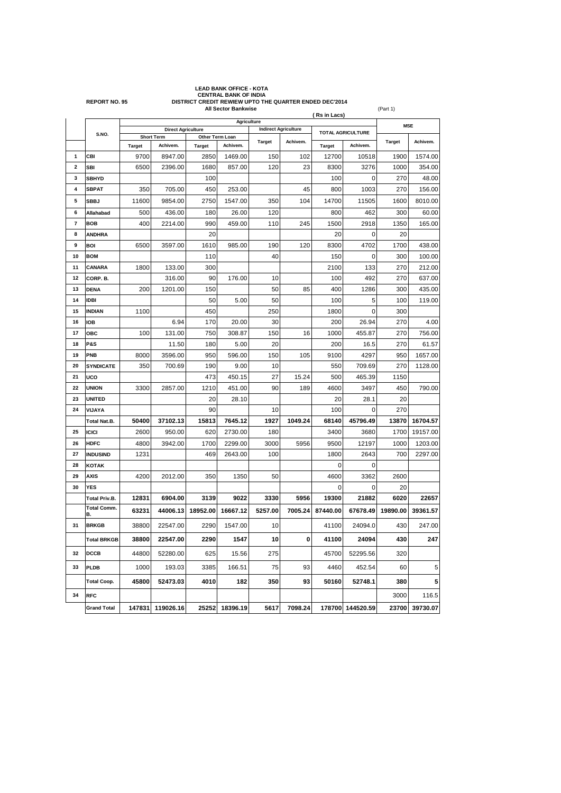|                         | <b>LEAD BANK OFFICE - KOTA</b><br>CENTRAL BANK OF INDIA<br>DISTRICT CREDIT REWIEW UPTO THE QUARTER ENDED DEC'2014<br><b>REPORT NO. 95</b> |                                                 |                   |                            |          |                             |          |                          |                  |               |          |
|-------------------------|-------------------------------------------------------------------------------------------------------------------------------------------|-------------------------------------------------|-------------------|----------------------------|----------|-----------------------------|----------|--------------------------|------------------|---------------|----------|
|                         |                                                                                                                                           |                                                 |                   | <b>All Sector Bankwise</b> |          |                             |          | (Rs in Lacs)             |                  | (Part 1)      |          |
|                         |                                                                                                                                           | <b>Agriculture</b><br><b>Direct Agriculture</b> |                   |                            |          |                             |          |                          |                  | <b>MSE</b>    |          |
|                         | S.NO.                                                                                                                                     |                                                 | <b>Short Term</b> | Other Term Loan            |          | <b>Indirect Agriculture</b> |          | <b>TOTAL AGRICULTURE</b> |                  |               |          |
|                         |                                                                                                                                           | Target                                          | Achivem.          | <b>Target</b>              | Achivem. | <b>Target</b>               | Achivem. | <b>Target</b>            | Achivem.         | <b>Target</b> | Achivem. |
| 1                       | CBI                                                                                                                                       | 9700                                            | 8947.00           | 2850                       | 1469.00  | 150                         | 102      | 12700                    | 10518            | 1900          | 1574.00  |
| $\overline{\mathbf{2}}$ | <b>SBI</b>                                                                                                                                | 6500                                            | 2396.00           | 1680                       | 857.00   | 120                         | 23       | 8300                     | 3276             | 1000          | 354.00   |
| 3                       | <b>SBHYD</b>                                                                                                                              |                                                 |                   | 100                        |          |                             |          | 100                      | 0                | 270           | 48.00    |
| 4                       | <b>SBPAT</b>                                                                                                                              | 350                                             | 705.00            | 450                        | 253.00   |                             | 45       | 800                      | 1003             | 270           | 156.00   |
| 5                       | <b>SBBJ</b>                                                                                                                               | 11600                                           | 9854.00           | 2750                       | 1547.00  | 350                         | 104      | 14700                    | 11505            | 1600          | 8010.00  |
| 6                       | Allahabad                                                                                                                                 | 500                                             | 436.00            | 180                        | 26.00    | 120                         |          | 800                      | 462              | 300           | 60.00    |
| 7                       | <b>BOB</b>                                                                                                                                | 400                                             | 2214.00           | 990                        | 459.00   | 110                         | 245      | 1500                     | 2918             | 1350          | 165.00   |
| 8                       | <b>ANDHRA</b>                                                                                                                             |                                                 |                   | 20                         |          |                             |          | 20                       | 0                | 20            |          |
| 9                       | <b>BOI</b>                                                                                                                                | 6500                                            | 3597.00           | 1610                       | 985.00   | 190                         | 120      | 8300                     | 4702             | 1700          | 438.00   |
| 10                      | <b>BOM</b>                                                                                                                                |                                                 |                   | 110                        |          | 40                          |          | 150                      | 0                | 300           | 100.00   |
| 11                      | CANARA                                                                                                                                    | 1800                                            | 133.00            | 300                        |          |                             |          | 2100                     | 133              | 270           | 212.00   |
| 12                      | CORP. B.                                                                                                                                  |                                                 | 316.00            | 90                         | 176.00   | 10                          |          | 100                      | 492              | 270           | 637.00   |
| 13                      | <b>DENA</b>                                                                                                                               | 200                                             | 1201.00           | 150                        |          | 50                          | 85       | 400                      | 1286             | 300           | 435.00   |
| 14                      | <b>IDBI</b>                                                                                                                               |                                                 |                   | 50                         | 5.00     | 50                          |          | 100                      | 5                | 100           | 119.00   |
| 15                      | <b>INDIAN</b>                                                                                                                             | 1100                                            |                   | 450                        |          | 250                         |          | 1800                     | 0                | 300           |          |
| 16                      | <b>IOB</b>                                                                                                                                |                                                 | 6.94              | 170                        | 20.00    | 30                          |          | 200                      | 26.94            | 270           | 4.00     |
| 17                      | ОВС                                                                                                                                       | 100                                             | 131.00            | 750                        | 308.87   | 150                         | 16       | 1000                     | 455.87           | 270           | 756.00   |
| 18                      | <b>P&amp;S</b>                                                                                                                            |                                                 | 11.50             | 180                        | 5.00     | 20                          |          | 200                      | 16.5             | 270           | 61.57    |
| 19                      | <b>PNB</b>                                                                                                                                | 8000                                            | 3596.00           | 950                        | 596.00   | 150                         | 105      | 9100                     | 4297             | 950           | 1657.00  |
| 20                      | <b>SYNDICATE</b>                                                                                                                          | 350                                             | 700.69            | 190                        | 9.00     | 10                          |          | 550                      | 709.69           | 270           | 1128.00  |
| 21                      | <b>UCO</b>                                                                                                                                |                                                 |                   | 473                        | 450.15   | 27                          | 15.24    | 500                      | 465.39           | 1150          |          |
| 22                      | <b>UNION</b>                                                                                                                              | 3300                                            | 2857.00           | 1210                       | 451.00   | 90                          | 189      | 4600                     | 3497             | 450           | 790.00   |
| 23                      | <b>UNITED</b>                                                                                                                             |                                                 |                   | 20                         | 28.10    |                             |          | 20                       | 28.1             | 20            |          |
| 24                      | VIJAYA                                                                                                                                    |                                                 |                   | 90                         |          | 10                          |          | 100                      | 0                | 270           |          |
|                         | Total Nat.B.                                                                                                                              | 50400                                           | 37102.13          | 15813                      | 7645.12  | 1927                        | 1049.24  | 68140                    | 45796.49         | 13870         | 16704.57 |
| 25                      | <b>ICICI</b>                                                                                                                              | 2600                                            | 950.00            | 620                        | 2730.00  | 180                         |          | 3400                     | 3680             | 1700          | 19157.00 |
| 26                      | <b>HDFC</b>                                                                                                                               | 4800                                            | 3942.00           | 1700                       | 2299.00  | 3000                        | 5956     | 9500                     | 12197            | 1000          | 1203.00  |
| 27                      | <b>INDUSIND</b>                                                                                                                           | 1231                                            |                   | 469                        | 2643.00  | 100                         |          | 1800                     | 2643             | 700           | 2297.00  |
| 28                      | <b>KOTAK</b>                                                                                                                              |                                                 |                   |                            |          |                             |          | 0                        | 0                |               |          |
| 29                      | <b>AXIS</b>                                                                                                                               | 4200                                            | 2012.00           | 350                        | 1350     | 50                          |          | 4600                     | 3362             | 2600          |          |
| 30                      | <b>YES</b>                                                                                                                                |                                                 |                   |                            |          |                             |          | 0                        | 0                | 20            |          |
|                         | <b>Total Priv.B.</b>                                                                                                                      | 12831                                           | 6904.00           | 3139                       | 9022     | 3330                        | 5956     | 19300                    | 21882            | 6020          | 22657    |
|                         | <b>Total Comm.</b><br>в.                                                                                                                  | 63231                                           | 44006.13          | 18952.00                   | 16667.12 | 5257.00                     | 7005.24  | 87440.00                 | 67678.49         | 19890.00      | 39361.57 |
| 31                      | <b>BRKGB</b>                                                                                                                              | 38800                                           | 22547.00          | 2290                       | 1547.00  | 10                          |          | 41100                    | 24094.0          | 430           | 247.00   |
|                         | <b>Total BRKGB</b>                                                                                                                        | 38800                                           | 22547.00          | 2290                       | 1547     | 10                          | 0        | 41100                    | 24094            | 430           | 247      |
| 32                      | <b>DCCB</b>                                                                                                                               | 44800                                           | 52280.00          | 625                        | 15.56    | 275                         |          | 45700                    | 52295.56         | 320           |          |
| 33                      | <b>PLDB</b>                                                                                                                               | 1000                                            | 193.03            | 3385                       | 166.51   | 75                          | 93       | 4460                     | 452.54           | 60            | 5        |
|                         | <b>Total Coop.</b>                                                                                                                        | 45800                                           | 52473.03          | 4010                       | 182      | 350                         | 93       | 50160                    | 52748.1          | 380           | 5        |
| 34                      | <b>RFC</b>                                                                                                                                |                                                 |                   |                            |          |                             |          |                          |                  | 3000          | 116.5    |
|                         | <b>Grand Total</b>                                                                                                                        | 147831                                          | 119026.16         | 25252                      | 18396.19 | 5617                        | 7098.24  |                          | 178700 144520.59 | 23700         | 39730.07 |